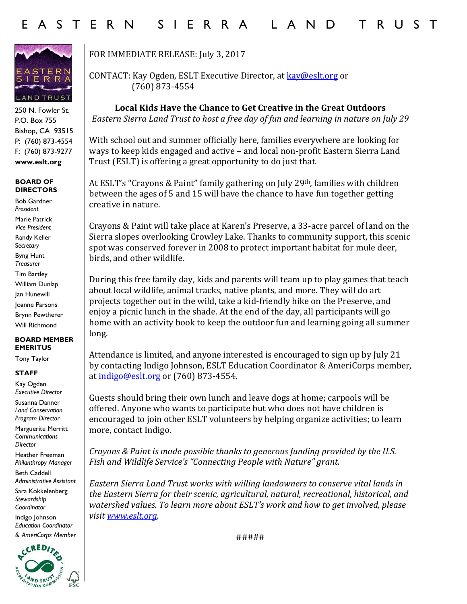

250 N. Fowler St. P.O. Box 755 Bishop, CA 93515 P: (760) 873-4554 F: (760) 873-9277 **www.eslt.org**

## **BOARD OF DIRECTORS**

Bob Gardner *President* Marie Patrick *Vice President* Randy Keller S*ecretary* Byng Hunt *Treasurer* Tim Bartley William Dunlap Jan Hunewill Joanne Parsons Brynn Pewtherer Will Richmond

## **BOARD MEMBER EMERITUS**

Tony Taylor

## **STAFF**

Kay Ogden *Executive Director*

Susanna Danner *Land Conservation Program Director*

Marguerite Merritt *Communications Director*

Heather Freeman *Philanthropy Manager*

Beth Caddell *Administrative Assistant* 

Sara Kokkelenberg *Stewardship Coordinator* 

Indigo Johnson *Education Coordinator & AmeriCorps Member*



FOR IMMEDIATE RELEASE: July 3, 2017

CONTACT: Kay Ogden, ESLT Executive Director, at **kay@eslt.org** or (760) 873-4554

**Local Kids Have the Chance to Get Creative in the Great Outdoors** *Eastern Sierra Land Trust to host a free day of fun and learning in nature on July 29*

With school out and summer officially here, families everywhere are looking for ways to keep kids engaged and active – and local non-profit Eastern Sierra Land Trust (ESLT) is offering a great opportunity to do just that.

At ESLT's "Crayons & Paint" family gathering on July 29th, families with children between the ages of 5 and 15 will have the chance to have fun together getting creative in nature.

Crayons & Paint will take place at Karen's Preserve, a 33-acre parcel of land on the Sierra slopes overlooking Crowley Lake. Thanks to community support, this scenic spot was conserved forever in 2008 to protect important habitat for mule deer, birds, and other wildlife.

During this free family day, kids and parents will team up to play games that teach about local wildlife, animal tracks, native plants, and more. They will do art projects together out in the wild, take a kid-friendly hike on the Preserve, and enjoy a picnic lunch in the shade. At the end of the day, all participants will go home with an activity book to keep the outdoor fun and learning going all summer long.

Attendance is limited, and anyone interested is encouraged to sign up by July 21 by contacting Indigo Johnson, ESLT Education Coordinator & AmeriCorps member, at [indigo@eslt.org](mailto:indigo@eslt.org) or (760) 873-4554.

Guests should bring their own lunch and leave dogs at home; carpools will be offered. Anyone who wants to participate but who does not have children is encouraged to join other ESLT volunteers by helping organize activities; to learn more, contact Indigo.

*Crayons & Paint is made possible thanks to generous funding provided by the U.S. Fish and Wildlife Service's "Connecting People with Nature" grant.*

*Eastern Sierra Land Trust works with willing landowners to conserve vital lands in the Eastern Sierra for their scenic, agricultural, natural, recreational, historical, and watershed values. To learn more about ESLT's work and how to get involved, please visit [www.eslt.org.](http://www.eslt.org/)*

#####